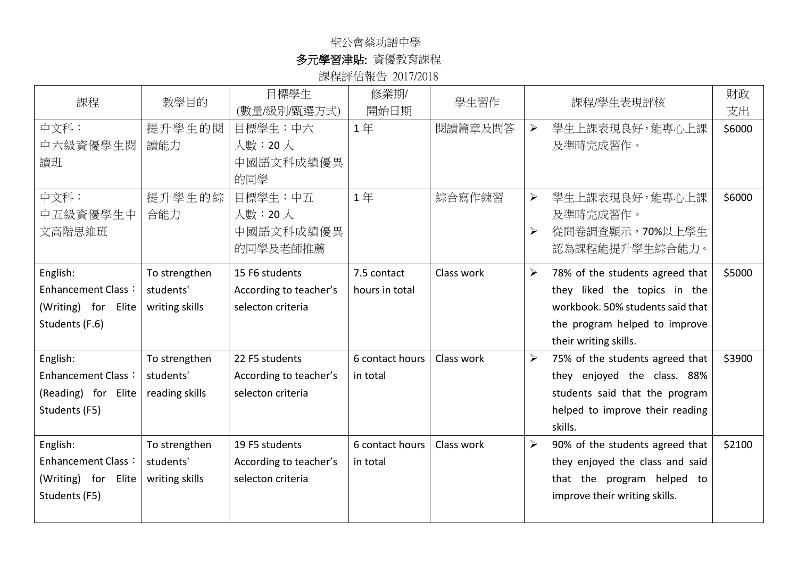## 聖公會蔡功譜中學

## 多元學習津貼: 資優教育課程

課程評估報告 2017/2018

| 課程                                                                             | 教學目的                                         | 目標學生<br>(數量/級別/甄選方式)                                          | 修業期/<br>開始日期                  | 學生習作       | 財政<br>課程/學生表現評核<br>支出                                                                                                                                                                            |
|--------------------------------------------------------------------------------|----------------------------------------------|---------------------------------------------------------------|-------------------------------|------------|--------------------------------------------------------------------------------------------------------------------------------------------------------------------------------------------------|
| 中文科:<br>中六級資優學生閱<br>讀班                                                         | 提升學生的閱<br>讀能力                                | 目標學生:中六<br>人數: 20人<br>中國語文科成績優異<br>的同學                        | 1年                            | 閱讀篇章及問答    | $\blacktriangleright$<br>學生上課表現良好,能專心上課<br>\$6000<br>及準時完成習作。                                                                                                                                    |
| 中文科:<br>中五級資優學生中<br>文高階思維班                                                     | 提升學生的綜<br>合能力                                | 目標學生:中五<br>人數: 20人<br>中國語文科成績優異<br>的同學及老師推薦                   | 1年                            | 綜合寫作練習     | $\blacktriangleright$<br>學生上課表現良好,能專心上課<br>\$6000<br>及準時完成習作。<br>$\blacktriangleright$<br>從問卷調查顯示, 70%以上學生<br>認為課程能提升學生綜合能力。                                                                     |
| English:<br><b>Enhancement Class:</b><br>(Writing) for Elite<br>Students (F.6) | To strengthen<br>students'<br>writing skills | 15 F6 students<br>According to teacher's<br>selecton criteria | 7.5 contact<br>hours in total | Class work | $\blacktriangleright$<br>78% of the students agreed that<br>\$5000<br>they liked the topics in the<br>workbook. 50% students said that<br>the program helped to improve<br>their writing skills. |
| English:<br><b>Enhancement Class:</b><br>(Reading) for Elite<br>Students (F5)  | To strengthen<br>students'<br>reading skills | 22 F5 students<br>According to teacher's<br>selecton criteria | 6 contact hours<br>in total   | Class work | $\blacktriangleright$<br>75% of the students agreed that<br>\$3900<br>they enjoyed the class. 88%<br>students said that the program<br>helped to improve their reading<br>skills.                |
| English:<br><b>Enhancement Class:</b><br>(Writing) for Elite<br>Students (F5)  | To strengthen<br>students'<br>writing skills | 19 F5 students<br>According to teacher's<br>selecton criteria | 6 contact hours<br>in total   | Class work | \$2100<br>➤<br>90% of the students agreed that<br>they enjoyed the class and said<br>that the program helped to<br>improve their writing skills.                                                 |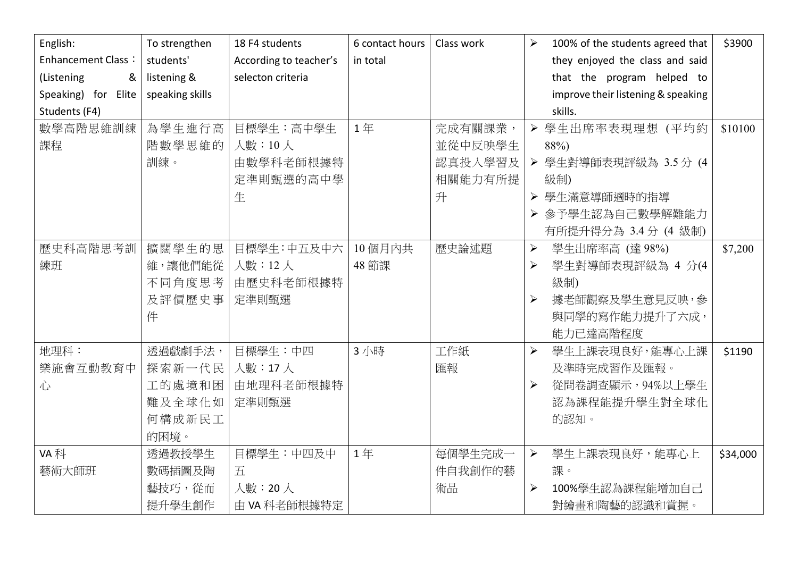| English:                  | To strengthen   | 18 F4 students         | 6 contact hours | Class work | $\blacktriangleright$ | 100% of the students agreed that   | \$3900   |
|---------------------------|-----------------|------------------------|-----------------|------------|-----------------------|------------------------------------|----------|
| <b>Enhancement Class:</b> | students'       | According to teacher's | in total        |            |                       | they enjoyed the class and said    |          |
| (Listening<br>&           | listening &     | selecton criteria      |                 |            |                       | that the program helped to         |          |
| Speaking) for Elite       | speaking skills |                        |                 |            |                       | improve their listening & speaking |          |
| Students (F4)             |                 |                        |                 |            |                       | skills.                            |          |
| 數學高階思維訓練                  | 為學生進行高          | 目標學生:高中學生              | 1年              | 完成有關課業,    |                       | > 學生出席率表現理想 (平均約                   | \$10100  |
| 課程                        | 階數學思維的          | 人數:10人                 |                 | 並從中反映學生    |                       | 88%)                               |          |
|                           | 訓練。             | 由數學科老師根據特              |                 | 認真投入學習及    | $\blacktriangleright$ | 學生對導師表現評級為 3.5分 (4                 |          |
|                           |                 | 定準則甄選的高中學              |                 | 相關能力有所提    |                       | 級制)                                |          |
|                           |                 | 生                      |                 | 升          | $\blacktriangleright$ | 學生滿意導師適時的指導                        |          |
|                           |                 |                        |                 |            | $\blacktriangleright$ | 參予學生認為自己數學解難能力                     |          |
|                           |                 |                        |                 |            |                       | 有所提升得分為 3.4 分 (4 級制)               |          |
| 歷史科高階思考訓                  | 擴闊學生的思          | 目標學生:中五及中六             | 10個月內共          | 歷史論述題      | $\blacktriangleright$ | 學生出席率高 (達98%)                      | \$7,200  |
| 練班                        | 維,讓他們能從         | 人數: 12人                | 48 節課           |            | $\blacktriangleright$ | 學生對導師表現評級為 4 分(4                   |          |
|                           | 不同角度思考          | 由歷史科老師根據特              |                 |            |                       | 級制)                                |          |
|                           | 及評價歷史事          | 定準則甄選                  |                 |            | ≻                     | 據老師觀察及學生意見反映,參                     |          |
|                           | 件               |                        |                 |            |                       | 與同學的寫作能力提升了六成,                     |          |
|                           |                 |                        |                 |            |                       | 能力已達高階程度                           |          |
| 地理科:                      | 透過戲劇手法,         | 目標學生:中四                | 3 小時            | 工作紙        | $\blacktriangleright$ | 學生上課表現良好,能專心上課                     | \$1190   |
| 樂施會互動教育中                  | 探索新一代民          | 人數:17人                 |                 | 匯報         |                       | 及準時完成習作及匯報。                        |          |
| 心                         | 工的處境和困          | 由地理科老師根據特              |                 |            | ≻                     | 從問卷調查顯示, 94%以上學生                   |          |
|                           | 難及全球化如          | 定準則甄選                  |                 |            |                       | 認為課程能提升學生對全球化                      |          |
|                           | 何構成新民工          |                        |                 |            |                       | 的認知。                               |          |
|                           | 的困境。            |                        |                 |            |                       |                                    |          |
| VA 科                      | 透過教授學生          | 目標學生:中四及中              | 1年              | 每個學生完成一    | $\blacktriangleright$ | 學生上課表現良好,能專心上                      | \$34,000 |
| 藝術大師班                     | 數碼插圖及陶          | 五                      |                 | 件自我創作的藝    |                       | 課。                                 |          |
|                           | 藝技巧,從而          | 人數: 20人                |                 | 術品         | ≻                     | 100%學生認為課程能增加自己                    |          |
|                           | 提升學生創作          | 由 VA 科老師根據特定           |                 |            |                       | 對繪畫和陶藝的認識和賞握。                      |          |